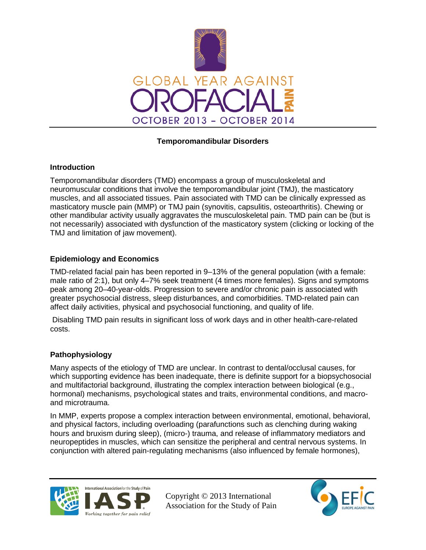

## **Temporomandibular Disorders**

### **Introduction**

Temporomandibular disorders (TMD) encompass a group of musculoskeletal and neuromuscular conditions that involve the temporomandibular joint (TMJ), the masticatory muscles, and all associated tissues. Pain associated with TMD can be clinically expressed as masticatory muscle pain (MMP) or TMJ pain (synovitis, capsulitis, osteoarthritis). Chewing or other mandibular activity usually aggravates the musculoskeletal pain. TMD pain can be (but is not necessarily) associated with dysfunction of the masticatory system (clicking or locking of the TMJ and limitation of jaw movement).

### **Epidemiology and Economics**

TMD-related facial pain has been reported in 9–13% of the general population (with a female: male ratio of 2:1), but only 4–7% seek treatment (4 times more females). Signs and symptoms peak among 20–40-year-olds. Progression to severe and/or chronic pain is associated with greater psychosocial distress, sleep disturbances, and comorbidities. TMD-related pain can affect daily activities, physical and psychosocial functioning, and quality of life.

Disabling TMD pain results in significant loss of work days and in other health-care-related costs.

### **Pathophysiology**

Many aspects of the etiology of TMD are unclear. In contrast to dental/occlusal causes, for which supporting evidence has been inadequate, there is definite support for a biopsychosocial and multifactorial background, illustrating the complex interaction between biological (e.g., hormonal) mechanisms, psychological states and traits, environmental conditions, and macroand microtrauma.

In MMP, experts propose a complex interaction between environmental, emotional, behavioral, and physical factors, including overloading (parafunctions such as clenching during waking hours and bruxism during sleep), (micro-) trauma, and release of inflammatory mediators and neuropeptides in muscles, which can sensitize the peripheral and central nervous systems. In conjunction with altered pain-regulating mechanisms (also influenced by female hormones),



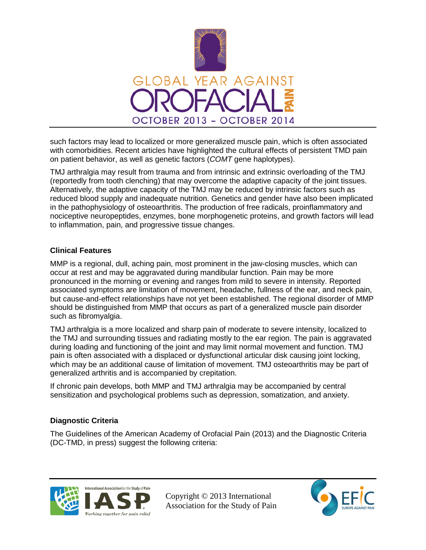

such factors may lead to localized or more generalized muscle pain, which is often associated with comorbidities. Recent articles have highlighted the cultural effects of persistent TMD pain on patient behavior, as well as genetic factors (*COMT* gene haplotypes).

TMJ arthralgia may result from trauma and from intrinsic and extrinsic overloading of the TMJ (reportedly from tooth clenching) that may overcome the adaptive capacity of the joint tissues. Alternatively, the adaptive capacity of the TMJ may be reduced by intrinsic factors such as reduced blood supply and inadequate nutrition. Genetics and gender have also been implicated in the pathophysiology of osteoarthritis. The production of free radicals, proinflammatory and nociceptive neuropeptides, enzymes, bone morphogenetic proteins, and growth factors will lead to inflammation, pain, and progressive tissue changes.

### **Clinical Features**

MMP is a regional, dull, aching pain, most prominent in the jaw-closing muscles, which can occur at rest and may be aggravated during mandibular function. Pain may be more pronounced in the morning or evening and ranges from mild to severe in intensity. Reported associated symptoms are limitation of movement, headache, fullness of the ear, and neck pain, but cause-and-effect relationships have not yet been established. The regional disorder of MMP should be distinguished from MMP that occurs as part of a generalized muscle pain disorder such as fibromyalgia.

TMJ arthralgia is a more localized and sharp pain of moderate to severe intensity, localized to the TMJ and surrounding tissues and radiating mostly to the ear region. The pain is aggravated during loading and functioning of the joint and may limit normal movement and function. TMJ pain is often associated with a displaced or dysfunctional articular disk causing joint locking, which may be an additional cause of limitation of movement. TMJ osteoarthritis may be part of generalized arthritis and is accompanied by crepitation.

If chronic pain develops, both MMP and TMJ arthralgia may be accompanied by central sensitization and psychological problems such as depression, somatization, and anxiety.

### **Diagnostic Criteria**

The Guidelines of the American Academy of Orofacial Pain (2013) and the Diagnostic Criteria (DC-TMD, in press) suggest the following criteria:



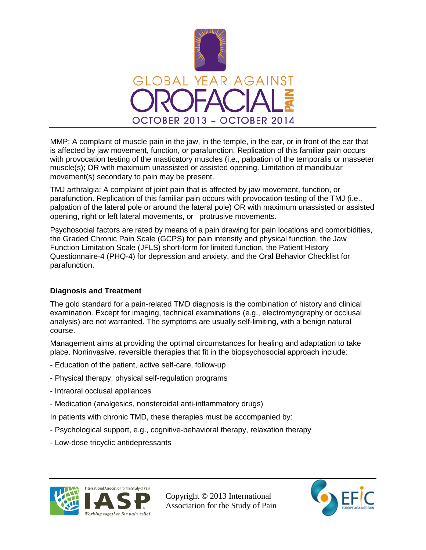

MMP: A complaint of muscle pain in the jaw, in the temple, in the ear, or in front of the ear that is affected by jaw movement, function, or parafunction. Replication of this familiar pain occurs with provocation testing of the masticatory muscles (i.e., palpation of the temporalis or masseter muscle(s); OR with maximum unassisted or assisted opening. Limitation of mandibular movement(s) secondary to pain may be present.

TMJ arthralgia: A complaint of joint pain that is affected by jaw movement, function, or parafunction. Replication of this familiar pain occurs with provocation testing of the TMJ (i.e., palpation of the lateral pole or around the lateral pole) OR with maximum unassisted or assisted opening, right or left lateral movements, or protrusive movements.

Psychosocial factors are rated by means of a pain drawing for pain locations and comorbidities, the Graded Chronic Pain Scale (GCPS) for pain intensity and physical function, the Jaw Function Limitation Scale (JFLS) short-form for limited function, the Patient History Questionnaire-4 (PHQ-4) for depression and anxiety, and the Oral Behavior Checklist for parafunction.

# **Diagnosis and Treatment**

The gold standard for a pain-related TMD diagnosis is the combination of history and clinical examination. Except for imaging, technical examinations (e.g., electromyography or occlusal analysis) are not warranted. The symptoms are usually self-limiting, with a benign natural course.

Management aims at providing the optimal circumstances for healing and adaptation to take place. Noninvasive, reversible therapies that fit in the biopsychosocial approach include:

- Education of the patient, active self-care, follow-up
- Physical therapy, physical self-regulation programs
- Intraoral occlusal appliances
- Medication (analgesics, nonsteroidal anti-inflammatory drugs)

In patients with chronic TMD, these therapies must be accompanied by:

- Psychological support, e.g., cognitive-behavioral therapy, relaxation therapy
- Low-dose tricyclic antidepressants